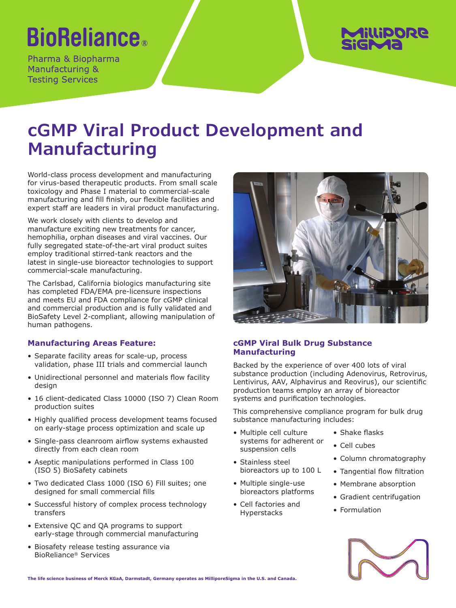# **BioReliance**®

Pharma & Biopharma Manufacturing & **Testing Services** 



## **cGMP Viral Product Development and Manufacturing**

World-class process development and manufacturing for virus-based therapeutic products. From small scale toxicology and Phase I material to commercial-scale manufacturing and fill finish, our flexible facilities and expert staff are leaders in viral product manufacturing.

We work closely with clients to develop and manufacture exciting new treatments for cancer, hemophilia, orphan diseases and viral vaccines. Our fully segregated state-of-the-art viral product suites employ traditional stirred-tank reactors and the latest in single-use bioreactor technologies to support commercial-scale manufacturing.

The Carlsbad, California biologics manufacturing site has completed FDA/EMA pre-licensure inspections and meets EU and FDA compliance for cGMP clinical and commercial production and is fully validated and BioSafety Level 2-compliant, allowing manipulation of human pathogens.

## **Manufacturing Areas Feature:**

- Separate facility areas for scale-up, process validation, phase III trials and commercial launch
- Unidirectional personnel and materials flow facility design
- 16 client-dedicated Class 10000 (ISO 7) Clean Room production suites
- Highly qualified process development teams focused on early-stage process optimization and scale up
- Single-pass cleanroom airflow systems exhausted directly from each clean room
- Aseptic manipulations performed in Class 100 (ISO 5) BioSafety cabinets
- Two dedicated Class 1000 (ISO 6) Fill suites; one designed for small commercial fills
- Successful history of complex process technology transfers
- Extensive QC and QA programs to support early-stage through commercial manufacturing
- Biosafety release testing assurance via BioReliance® Services



## **cGMP Viral Bulk Drug Substance Manufacturing**

Backed by the experience of over 400 lots of viral substance production (including Adenovirus, Retrovirus, Lentivirus, AAV, Alphavirus and Reovirus), our scientific production teams employ an array of bioreactor systems and purification technologies.

This comprehensive compliance program for bulk drug substance manufacturing includes:

- Multiple cell culture systems for adherent or suspension cells
- Stainless steel bioreactors up to 100 L
- Multiple single-use bioreactors platforms
- Cell factories and Hyperstacks
- Shake flasks
- Cell cubes
- Column chromatography
- Tangential flow filtration
- Membrane absorption
- Gradient centrifugation
- Formulation



**The life science business of Merck KGaA, Darmstadt, Germany operates as MilliporeSigma in the U.S. and Canada.**